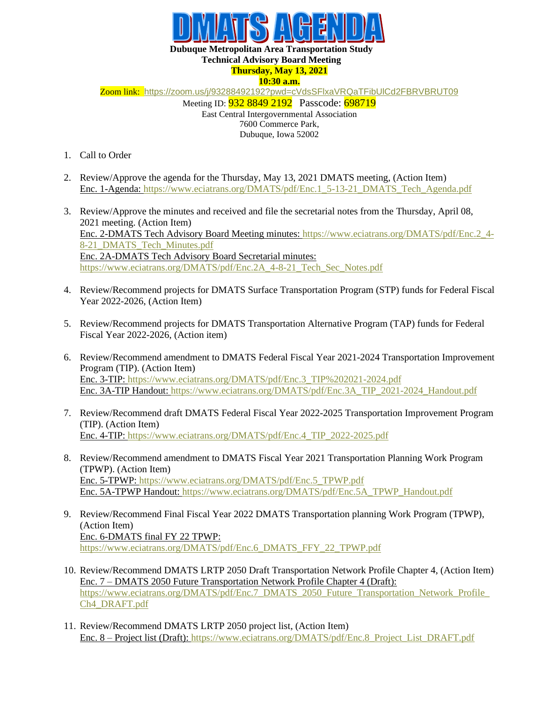

## **Dubuque Metropolitan Area Transportation Study**

## **Technical Advisory Board Meeting**

**Thursday, May 13, 2021 10:30 a.m.**

Zoom link: <https://zoom.us/j/93288492192?pwd=cVdsSFlxaVRQaTFibUlCd2FBRVBRUT09>

Meeting ID: **932 8849 2192** Passcode: 698719

East Central Intergovernmental Association 7600 Commerce Park,

Dubuque, Iowa 52002

- 1. Call to Order
- 2. Review/Approve the agenda for the Thursday, May 13, 2021 DMATS meeting, (Action Item) Enc. 1-Agenda: [https://www.eciatrans.org/DMATS/pdf/Enc.1\\_5-13-21\\_DMATS\\_Tech\\_Agenda.pdf](https://www.eciatrans.org/DMATS/pdf/Enc.1_5-13-21_DMATS_Tech_Agenda.pdf)
- 3. Review/Approve the minutes and received and file the secretarial notes from the Thursday, April 08, 2021 meeting. (Action Item) Enc. 2-DMATS Tech Advisory Board Meeting minutes: [https://www.eciatrans.org/DMATS/pdf/Enc.2\\_4-](https://www.eciatrans.org/DMATS/pdf/Enc.2_4-8-21_DMATS_Tech_Minutes.pdf) [8-21\\_DMATS\\_Tech\\_Minutes.pdf](https://www.eciatrans.org/DMATS/pdf/Enc.2_4-8-21_DMATS_Tech_Minutes.pdf) Enc. 2A-DMATS Tech Advisory Board Secretarial minutes: https://www.eciatrans.org/DMATS/pdf/Enc.2A 4-8-21 Tech Sec\_Notes.pdf
- 4. Review/Recommend projects for DMATS Surface Transportation Program (STP) funds for Federal Fiscal Year 2022-2026, (Action Item)
- 5. Review/Recommend projects for DMATS Transportation Alternative Program (TAP) funds for Federal Fiscal Year 2022-2026, (Action item)
- 6. Review/Recommend amendment to DMATS Federal Fiscal Year 2021-2024 Transportation Improvement Program (TIP). (Action Item) Enc. 3-TIP: [https://www.eciatrans.org/DMATS/pdf/Enc.3\\_TIP%202021-2024.pdf](https://www.eciatrans.org/DMATS/pdf/Enc.3_TIP%202021-2024.pdf) Enc. 3A-TIP Handout: [https://www.eciatrans.org/DMATS/pdf/Enc.3A\\_TIP\\_2021-2024\\_Handout.pdf](https://www.eciatrans.org/DMATS/pdf/Enc.3A_TIP_2021-2024_Handout.pdf)
- 7. Review/Recommend draft DMATS Federal Fiscal Year 2022-2025 Transportation Improvement Program (TIP). (Action Item) Enc. 4-TIP: [https://www.eciatrans.org/DMATS/pdf/Enc.4\\_TIP\\_2022-2025.pdf](https://www.eciatrans.org/DMATS/pdf/Enc.4_TIP_2022-2025.pdf)
- 8. Review/Recommend amendment to DMATS Fiscal Year 2021 Transportation Planning Work Program (TPWP). (Action Item) Enc. 5-TPWP: [https://www.eciatrans.org/DMATS/pdf/Enc.5\\_TPWP.pdf](https://www.eciatrans.org/DMATS/pdf/Enc.5_TPWP.pdf) Enc. 5A-TPWP Handout: [https://www.eciatrans.org/DMATS/pdf/Enc.5A\\_TPWP\\_Handout.pdf](https://www.eciatrans.org/DMATS/pdf/Enc.5A_TPWP_Handout.pdf)
- 9. Review/Recommend Final Fiscal Year 2022 DMATS Transportation planning Work Program (TPWP), (Action Item) Enc. 6-DMATS final FY 22 TPWP: [https://www.eciatrans.org/DMATS/pdf/Enc.6\\_DMATS\\_FFY\\_22\\_TPWP.pdf](https://www.eciatrans.org/DMATS/pdf/Enc.6_DMATS_FFY_22_TPWP.pdf)
- 10. Review/Recommend DMATS LRTP 2050 Draft Transportation Network Profile Chapter 4, (Action Item) Enc. 7 – DMATS 2050 Future Transportation Network Profile Chapter 4 (Draft): https://www.eciatrans.org/DMATS/pdf/Enc.7\_DMATS\_2050\_Future\_Transportation\_Network\_Profile [Ch4\\_DRAFT.pdf](https://www.eciatrans.org/DMATS/pdf/Enc.7_DMATS_2050_Future_Transportation_Network_Profile_Ch4_DRAFT.pdf)
- 11. Review/Recommend DMATS LRTP 2050 project list, (Action Item) Enc. 8 – Project list (Draft): [https://www.eciatrans.org/DMATS/pdf/Enc.8\\_Project\\_List\\_DRAFT.pdf](https://www.eciatrans.org/DMATS/pdf/Enc.8_Project_List_DRAFT.pdf)